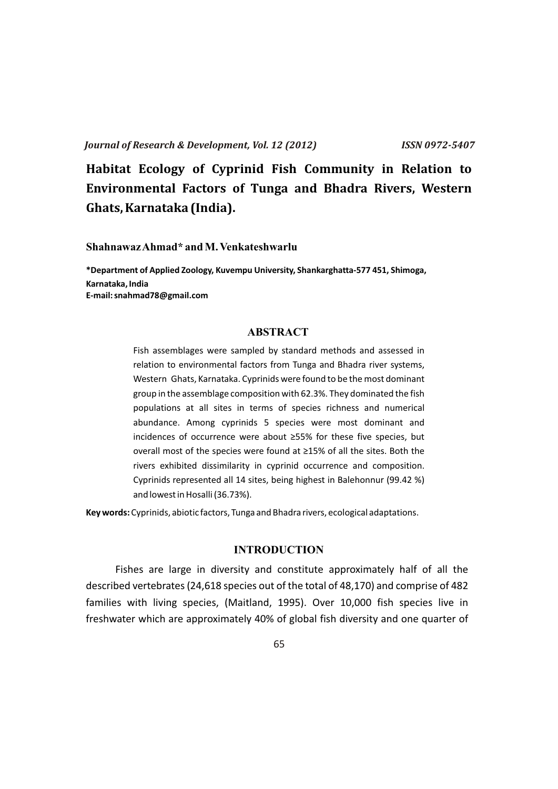**Habitat Ecology of Cyprinid Fish Community in Relation to Environmental Factors of Tunga and Bhadra Rivers, Western Ghats, Karnataka (India).**

**Shahnawaz Ahmad\* and M. Venkateshwarlu**

**\*Department of Applied Zoology, Kuvempu University, Shankarghatta-577 451, Shimoga, Karnataka, India E-mail: snahmad78@gmail.com**

## **ABSTRACT**

Fish assemblages were sampled by standard methods and assessed in relation to environmental factors from Tunga and Bhadra river systems, Western Ghats, Karnataka. Cyprinids were found to be the most dominant group in the assemblage composition with 62.3%. They dominated the fish populations at all sites in terms of species richness and numerical abundance. Among cyprinids 5 species were most dominant and incidences of occurrence were about ≥55% for these five species, but overall most of the species were found at ≥15% of all the sites. Both the rivers exhibited dissimilarity in cyprinid occurrence and composition. Cyprinids represented all 14 sites, being highest in Balehonnur (99.42 %) and lowest in Hosalli (36.73%).

**Key words:** Cyprinids, abiotic factors, Tunga and Bhadra rivers, ecological adaptations.

## **INTRODUCTION**

Fishes are large in diversity and constitute approximately half of all the described vertebrates (24,618 species out of the total of 48,170) and comprise of 482 families with living species, (Maitland, 1995). Over 10,000 fish species live in freshwater which are approximately 40% of global fish diversity and one quarter of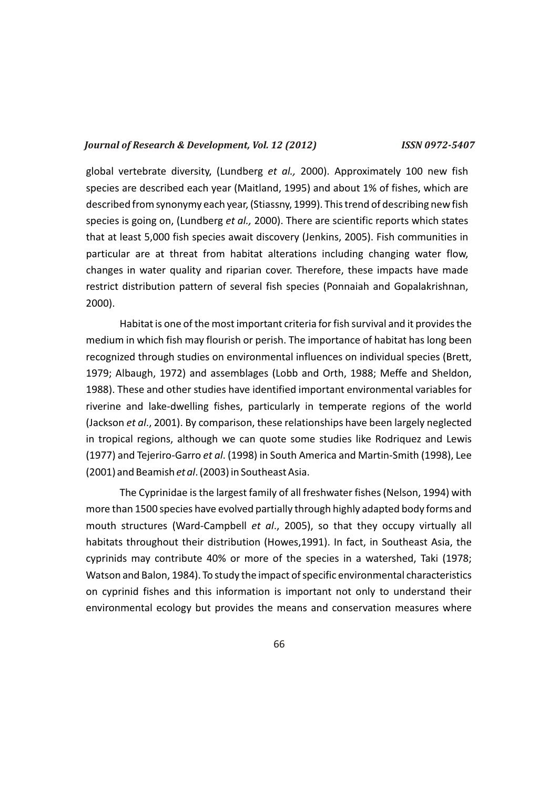global vertebrate diversity, (Lundberg *et al.,* 2000). Approximately 100 new fish species are described each year (Maitland, 1995) and about 1% of fishes, which are described from synonymy each year, (Stiassny, 1999). This trend of describing new fish species is going on, (Lundberg *et al.,* 2000). There are scientific reports which states that at least 5,000 fish species await discovery (Jenkins, 2005). Fish communities in particular are at threat from habitat alterations including changing water flow, changes in water quality and riparian cover. Therefore, these impacts have made restrict distribution pattern of several fish species (Ponnaiah and Gopalakrishnan, 2000).

Habitat is one of the most important criteria for fish survival and it provides the medium in which fish may flourish or perish. The importance of habitat has long been recognized through studies on environmental influences on individual species (Brett, 1979; Albaugh, 1972) and assemblages (Lobb and Orth, 1988; Meffe and Sheldon, 1988). These and other studies have identified important environmental variables for riverine and lake-dwelling fishes, particularly in temperate regions of the world (Jackson *et al*., 2001). By comparison, these relationships have been largely neglected in tropical regions, although we can quote some studies like Rodriquez and Lewis (1977) and Tejeriro-Garro *et al*. (1998) in South America and Martin-Smith (1998), Lee (2001) and Beamish *et al*. (2003) in Southeast Asia.

The Cyprinidae is the largest family of all freshwater fishes (Nelson, 1994) with more than 1500 species have evolved partially through highly adapted body forms and mouth structures (Ward-Campbell *et al*., 2005), so that they occupy virtually all habitats throughout their distribution (Howes,1991). In fact, in Southeast Asia, the cyprinids may contribute 40% or more of the species in a watershed, Taki (1978; Watson and Balon, 1984). To study the impact of specific environmental characteristics on cyprinid fishes and this information is important not only to understand their environmental ecology but provides the means and conservation measures where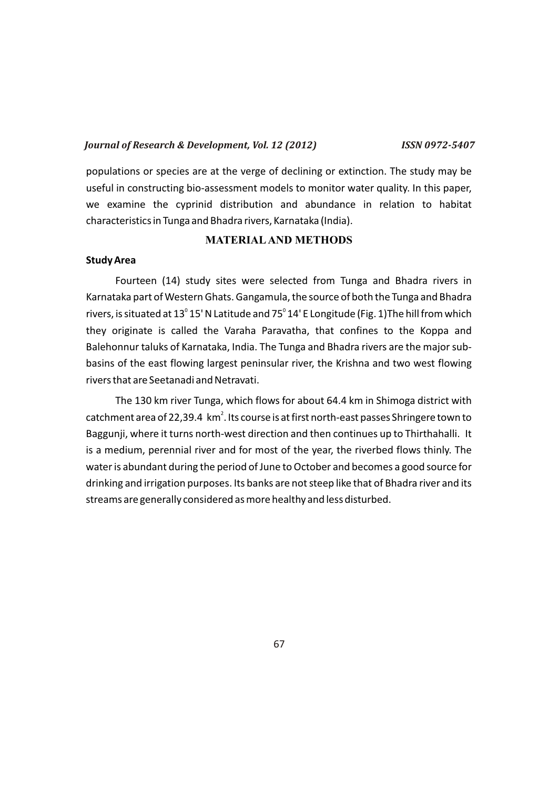populations or species are at the verge of declining or extinction. The study may be useful in constructing bio-assessment models to monitor water quality. In this paper, we examine the cyprinid distribution and abundance in relation to habitat characteristics in Tunga and Bhadra rivers, Karnataka (India).

#### **MATERIALAND METHODS**

#### **Study Area**

Fourteen (14) study sites were selected from Tunga and Bhadra rivers in Karnataka part of Western Ghats. Gangamula, the source of both the Tunga and Bhadra rivers, is situated at 13 $^{\rm o}$  15' N Latitude and 75 $^{\rm o}$  14' E Longitude (Fig. 1)The hill from which they originate is called the Varaha Paravatha, that confines to the Koppa and Balehonnur taluks of Karnataka, India. The Tunga and Bhadra rivers are the major subbasins of the east flowing largest peninsular river, the Krishna and two west flowing rivers that are Seetanadi and Netravati.

The 130 km river Tunga, which flows for about 64.4 km in Shimoga district with catchment area of 22,39.4  $\,$  km<sup>2</sup>. Its course is at first north-east passes Shringere town to Baggunji, where it turns north-west direction and then continues up to Thirthahalli. It is a medium, perennial river and for most of the year, the riverbed flows thinly. The water is abundant during the period of June to October and becomes a good source for drinking and irrigation purposes. Its banks are not steep like that of Bhadra river and its streams are generally considered as more healthy and less disturbed.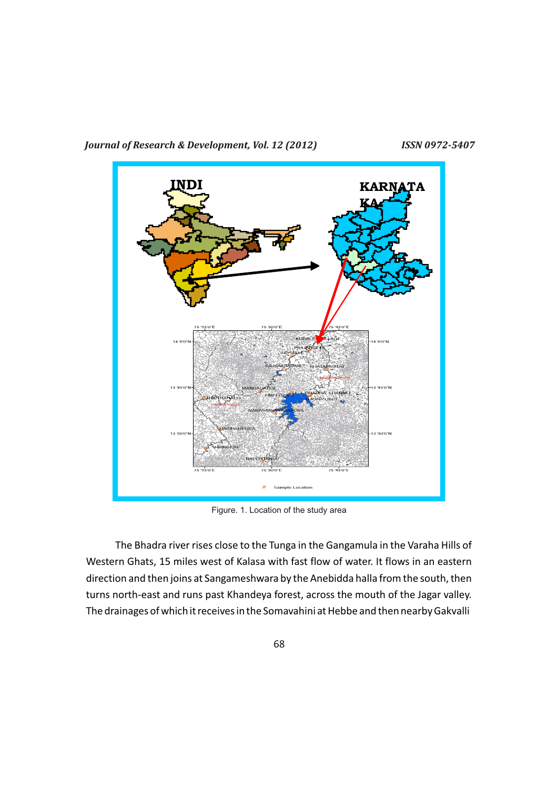



Figure. 1. Location of the study area

The Bhadra river rises close to the Tunga in the Gangamula in the Varaha Hills of Western Ghats, 15 miles west of Kalasa with fast flow of water. It flows in an eastern direction and then joins at Sangameshwara by the Anebidda halla from the south, then turns north-east and runs past Khandeya forest, across the mouth of the Jagar valley. The drainages of which it receives in the Somavahini at Hebbe and then nearby Gakvalli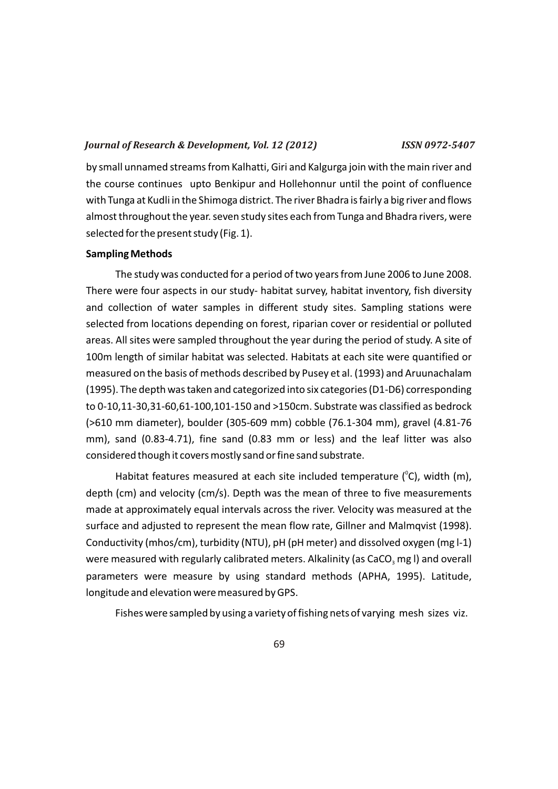by small unnamed streams from Kalhatti, Giri and Kalgurga join with the main river and the course continues upto Benkipur and Hollehonnur until the point of confluence with Tunga at Kudli in the Shimoga district. The river Bhadra is fairly a big river and flows almost throughout the year. seven study sites each from Tunga and Bhadra rivers, were selected for the present study (Fig. 1).

#### **Sampling Methods**

The study was conducted for a period of two years from June 2006 to June 2008. There were four aspects in our study- habitat survey, habitat inventory, fish diversity and collection of water samples in different study sites. Sampling stations were selected from locations depending on forest, riparian cover or residential or polluted areas. All sites were sampled throughout the year during the period of study. A site of 100m length of similar habitat was selected. Habitats at each site were quantified or measured on the basis of methods described by Pusey et al. (1993) and Aruunachalam (1995). The depth was taken and categorized into six categories (D1-D6) corresponding to 0-10,11-30,31-60,61-100,101-150 and >150cm. Substrate was classified as bedrock (>610 mm diameter), boulder (305-609 mm) cobble (76.1-304 mm), gravel (4.81-76 mm), sand (0.83-4.71), fine sand (0.83 mm or less) and the leaf litter was also considered though it covers mostly sand or fine sand substrate.

Habitat features measured at each site included temperature ( $^{\circ}$ C), width (m), depth (cm) and velocity (cm/s). Depth was the mean of three to five measurements made at approximately equal intervals across the river. Velocity was measured at the surface and adjusted to represent the mean flow rate, Gillner and Malmqvist (1998). Conductivity (mhos/cm), turbidity (NTU), pH (pH meter) and dissolved oxygen (mg l-1) were measured with regularly calibrated meters. Alkalinity (as CaCO<sub>3</sub> mg l) and overall parameters were measure by using standard methods (APHA, 1995). Latitude, longitude and elevation were measured by GPS.

Fishes were sampled by using a variety of fishing nets of varying mesh sizes viz.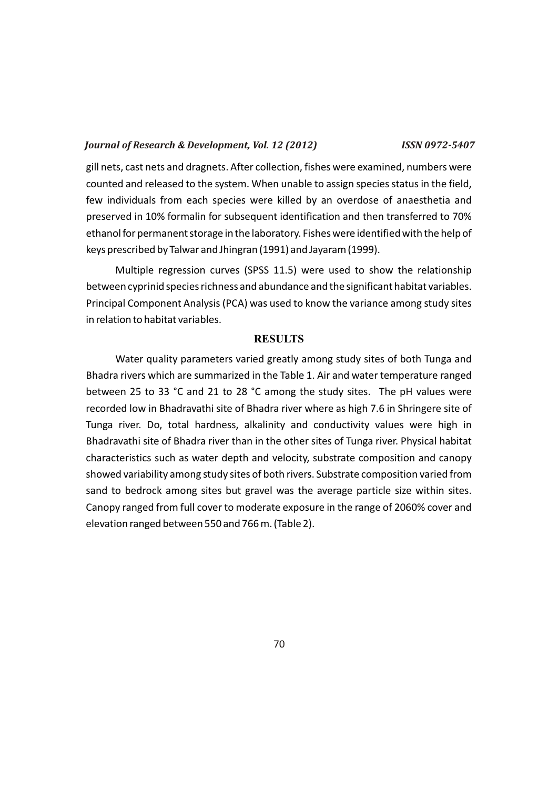gill nets, cast nets and dragnets. After collection, fishes were examined, numbers were counted and released to the system. When unable to assign species status in the field, few individuals from each species were killed by an overdose of anaesthetia and preserved in 10% formalin for subsequent identification and then transferred to 70% ethanol for permanent storage in the laboratory. Fishes were identified with the help of keys prescribed by Talwar and Jhingran (1991) and Jayaram (1999).

Multiple regression curves (SPSS 11.5) were used to show the relationship between cyprinid species richness and abundance and the significant habitat variables. Principal Component Analysis (PCA) was used to know the variance among study sites in relation to habitat variables.

## **RESULTS**

Water quality parameters varied greatly among study sites of both Tunga and Bhadra rivers which are summarized in the Table 1. Air and water temperature ranged between 25 to 33 °C and 21 to 28 °C among the study sites. The pH values were recorded low in Bhadravathi site of Bhadra river where as high 7.6 in Shringere site of Tunga river. Do, total hardness, alkalinity and conductivity values were high in Bhadravathi site of Bhadra river than in the other sites of Tunga river. Physical habitat characteristics such as water depth and velocity, substrate composition and canopy showed variability among study sites of both rivers. Substrate composition varied from sand to bedrock among sites but gravel was the average particle size within sites. Canopy ranged from full cover to moderate exposure in the range of 2060% cover and elevation ranged between 550 and 766 m. (Table 2).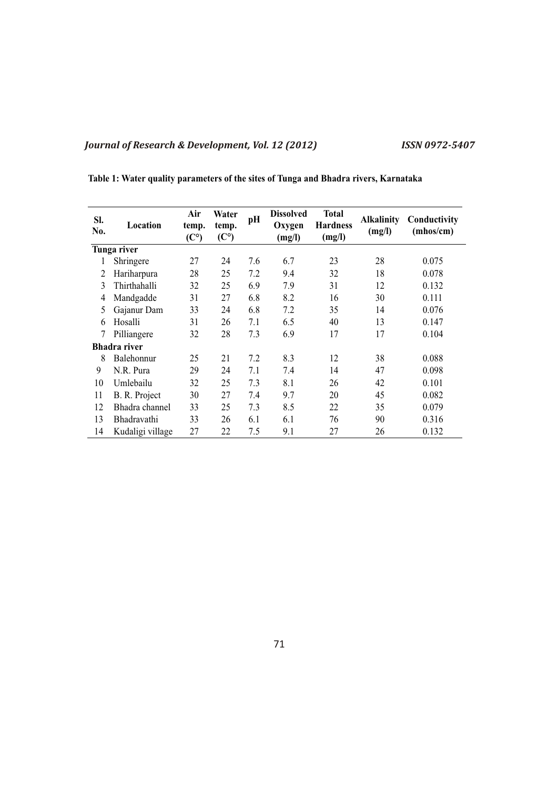| Table 1: Water quality parameters of the sites of Tunga and Bhadra rivers, Karnataka |  |
|--------------------------------------------------------------------------------------|--|
|--------------------------------------------------------------------------------------|--|

| SI.<br>No. | Location            | Air<br>temp.<br>(C <sup>o</sup> ) | Water<br>temp.<br>(C <sup>o</sup> ) | pH  | <b>Dissolved</b><br>Oxygen<br>(mg/l) | <b>Total</b><br><b>Hardness</b><br>(mg/l) | <b>Alkalinity</b><br>(mg/l) | Conductivity<br>(mhos/cm) |
|------------|---------------------|-----------------------------------|-------------------------------------|-----|--------------------------------------|-------------------------------------------|-----------------------------|---------------------------|
|            | Tunga river         |                                   |                                     |     |                                      |                                           |                             |                           |
| 1          | Shringere           | 27                                | 24                                  | 7.6 | 6.7                                  | 23                                        | 28                          | 0.075                     |
| 2          | Hariharpura         | 28                                | 25                                  | 7.2 | 9.4                                  | 32                                        | 18                          | 0.078                     |
| 3          | Thirthahalli        | 32                                | 25                                  | 6.9 | 7.9                                  | 31                                        | 12                          | 0.132                     |
| 4          | Mandgadde           | 31                                | 27                                  | 6.8 | 8.2                                  | 16                                        | 30                          | 0.111                     |
| 5          | Gajanur Dam         | 33                                | 24                                  | 6.8 | 7.2                                  | 35                                        | 14                          | 0.076                     |
| 6          | Hosalli             | 31                                | 26                                  | 7.1 | 6.5                                  | 40                                        | 13                          | 0.147                     |
| 7          | Pilliangere         | 32                                | 28                                  | 7.3 | 6.9                                  | 17                                        | 17                          | 0.104                     |
|            | <b>Bhadra</b> river |                                   |                                     |     |                                      |                                           |                             |                           |
| 8          | Balehonnur          | 25                                | 21                                  | 7.2 | 8.3                                  | 12                                        | 38                          | 0.088                     |
| 9          | N.R. Pura           | 29                                | 24                                  | 7.1 | 7.4                                  | 14                                        | 47                          | 0.098                     |
| 10         | Umlebailu           | 32                                | 25                                  | 7.3 | 8.1                                  | 26                                        | 42                          | 0.101                     |
| 11         | B. R. Project       | 30                                | 27                                  | 7.4 | 9.7                                  | 20                                        | 45                          | 0.082                     |
| 12         | Bhadra channel      | 33                                | 25                                  | 7.3 | 8.5                                  | 22                                        | 35                          | 0.079                     |
| 13         | Bhadravathi         | 33                                | 26                                  | 6.1 | 6.1                                  | 76                                        | 90                          | 0.316                     |
| 14         | Kudaligi village    | 27                                | 22                                  | 7.5 | 9.1                                  | 27                                        | 26                          | 0.132                     |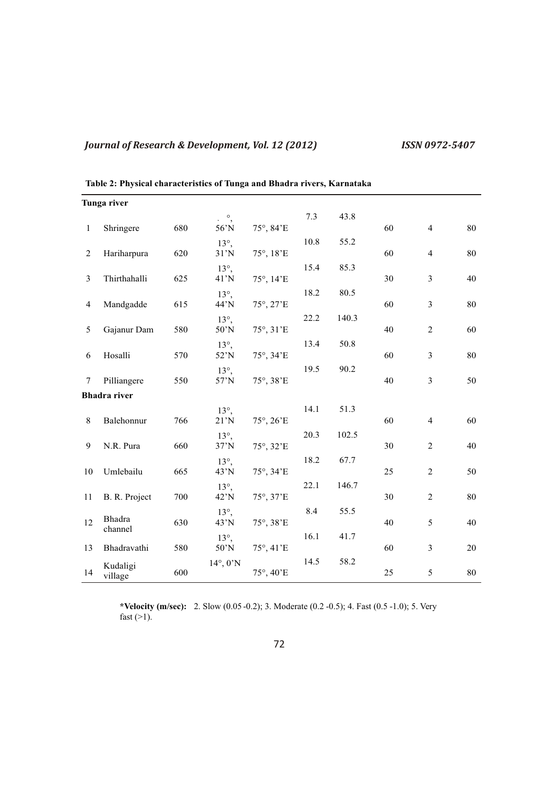|                | Tunga river         |     |                      |                            |      |       |    |                         |    |
|----------------|---------------------|-----|----------------------|----------------------------|------|-------|----|-------------------------|----|
|                |                     |     | $\cdot$ $\circ$ ,    |                            | 7.3  | 43.8  |    |                         |    |
| $\mathbf{1}$   | Shringere           | 680 | 56'N                 | 75°, 84'E                  |      |       | 60 | $\overline{4}$          | 80 |
|                |                     |     | $13^\circ$ ,         |                            | 10.8 | 55.2  |    |                         |    |
| 2              | Hariharpura         | 620 | $31'$ N              | 75°, 18'E                  |      |       | 60 | $\overline{4}$          | 80 |
|                |                     |     | $13^\circ$ ,         |                            | 15.4 | 85.3  |    |                         |    |
| 3              | Thirthahalli        | 625 | $41'$ N              | 75°, 14'E                  |      |       | 30 | 3                       | 40 |
|                |                     |     | $13^\circ$ ,         |                            | 18.2 | 80.5  |    |                         |    |
| $\overline{4}$ | Mandgadde           | 615 | 44'N                 | 75°, 27'E                  |      |       | 60 | $\overline{\mathbf{3}}$ | 80 |
|                |                     |     | $13^\circ$ ,         |                            | 22.2 | 140.3 |    |                         |    |
| 5              | Gajanur Dam         | 580 | $50'$ N              | 75°, 31'E                  |      |       | 40 | $\sqrt{2}$              | 60 |
|                |                     |     | $13^\circ$ ,         |                            | 13.4 | 50.8  |    |                         |    |
| 6              | Hosalli             | 570 | 52'N                 | 75°, 34'E                  |      |       | 60 | 3                       | 80 |
|                |                     | 550 | $13^\circ$ ,         |                            | 19.5 | 90.2  | 40 | $\mathfrak{Z}$          | 50 |
| 7              | Pilliangere         |     | 57'N                 | 75°, 38'E                  |      |       |    |                         |    |
|                | <b>Bhadra</b> river |     |                      |                            |      |       |    |                         |    |
|                |                     |     | $13^\circ$ ,         |                            | 14.1 | 51.3  |    |                         |    |
| $8\,$          | Balehonnur          | 766 | 21'N                 | $75^{\circ}, 26^{\circ}E$  |      |       | 60 | $\overline{4}$          | 60 |
| 9              | N.R. Pura           | 660 | $13^\circ$ ,<br>37'N |                            | 20.3 | 102.5 | 30 | 2                       | 40 |
|                |                     |     |                      | $75^{\circ}, 32^{\prime}E$ |      |       |    |                         |    |
| 10             | Umlebailu           | 665 | $13^\circ$ ,<br>43'N | 75°, 34'E                  | 18.2 | 67.7  | 25 | $\overline{2}$          | 50 |
|                |                     |     |                      |                            | 22.1 | 146.7 |    |                         |    |
| 11             | B. R. Project       | 700 | $13^\circ$ ,<br>42'N | 75°, 37'E                  |      |       | 30 | $\overline{2}$          | 80 |
|                |                     |     | $13^\circ$ ,         |                            | 8.4  | 55.5  |    |                         |    |
| 12             | Bhadra              | 630 | $43'$ N              | 75°, 38'E                  |      |       | 40 | 5                       | 40 |
|                | channel             |     | $13^\circ$ ,         |                            | 16.1 | 41.7  |    |                         |    |
| 13             | Bhadravathi         | 580 | $50^{\circ}$ N       | 75°, 41'E                  |      |       | 60 | $\mathfrak{Z}$          | 20 |
|                |                     |     | $14^\circ, 0'$ N     |                            | 14.5 | 58.2  |    |                         |    |
| 14             | Kudaligi<br>village | 600 |                      | 75°, 40'E                  |      |       | 25 | 5                       | 80 |

**Table 2: Physical characteristics of Tunga and Bhadra rivers, Karnataka**

**\*Velocity (m/sec):** 2. Slow (0.05 -0.2); 3. Moderate (0.2 -0.5); 4. Fast (0.5 -1.0); 5. Very fast  $(>1)$ .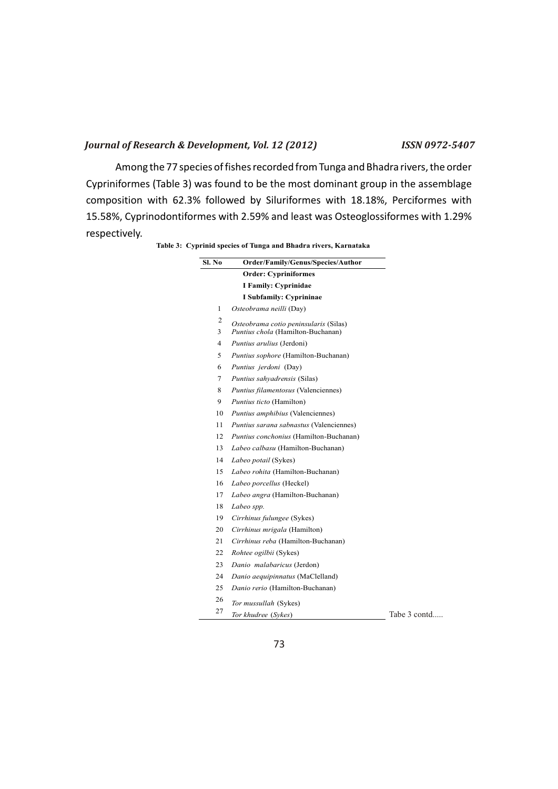Among the 77 species of fishes recorded from Tunga and Bhadra rivers, the order Cypriniformes (Table 3) was found to be the most dominant group in the assemblage composition with 62.3% followed by Siluriformes with 18.18%, Perciformes with 15.58%, Cyprinodontiformes with 2.59% and least was Osteoglossiformes with 1.29% respectively.

**Table 3: Cyprinid species of Tunga and Bhadra rivers, Karnataka**

| Sl. No         | Order/Family/Genus/Species/Author                                          |
|----------------|----------------------------------------------------------------------------|
|                | <b>Order: Cypriniformes</b>                                                |
|                | I Family: Cyprinidae                                                       |
|                | I Subfamily: Cyprininae                                                    |
| 1              | Osteobrama neilli (Day)                                                    |
| $\overline{c}$ |                                                                            |
|                | Osteobrama cotio peninsularis (Silas)<br>Puntius chola (Hamilton-Buchanan) |
| 3<br>4         |                                                                            |
| 5              | Puntius arulius (Jerdoni)                                                  |
|                | Puntius sophore (Hamilton-Buchanan)                                        |
| 6              | Puntius jerdoni (Day)                                                      |
| 7              | Puntius sahyadrensis (Silas)                                               |
| 8              | Puntius filamentosus (Valenciennes)                                        |
| 9              | Puntius ticto (Hamilton)                                                   |
| 10             | Puntius amphibius (Valenciennes)                                           |
| 11             | Puntius sarana sabnastus (Valenciennes)                                    |
| 12             | Puntius conchonius (Hamilton-Buchanan)                                     |
| 13             | Labeo calbasu (Hamilton-Buchanan)                                          |
| 14             | Labeo potail (Sykes)                                                       |
| 15             | Labeo rohita (Hamilton-Buchanan)                                           |
| 16             | Labeo porcellus (Heckel)                                                   |
| 17             | Labeo angra (Hamilton-Buchanan)                                            |
| 18             | Labeo spp.                                                                 |
| 19             | Cirrhinus fulungee (Sykes)                                                 |
| 20             | Cirrhinus mrigala (Hamilton)                                               |
| 21             | Cirrhinus reba (Hamilton-Buchanan)                                         |
| 22             | Rohtee ogilbii (Sykes)                                                     |
| 23             | Danio malabaricus (Jerdon)                                                 |
| 24             | Danio aequipinnatus (MaClelland)                                           |
| 25             | Danio rerio (Hamilton-Buchanan)                                            |
| 26             | Tor mussullah (Sykes)                                                      |
| 27             | Tor khudree (Sykes)                                                        |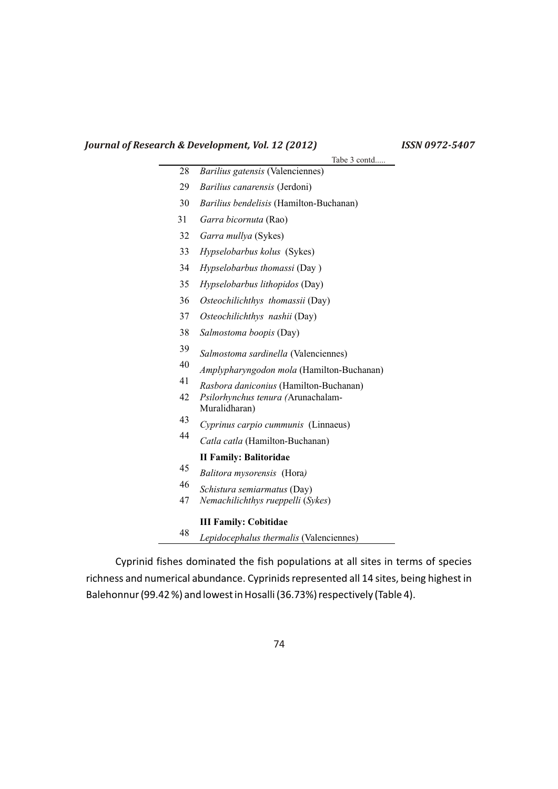|    | Tabe 3 contd                              |
|----|-------------------------------------------|
| 28 | Barilius gatensis (Valenciennes)          |
| 29 | Barilius canarensis (Jerdoni)             |
| 30 | Barilius bendelisis (Hamilton-Buchanan)   |
| 31 | Garra bicornuta (Rao)                     |
| 32 | Garra mullya (Sykes)                      |
| 33 | Hypselobarbus kolus (Sykes)               |
| 34 | Hypselobarbus thomassi (Day)              |
| 35 | Hypselobarbus lithopidos (Day)            |
| 36 | Osteochilichthys thomassii (Day)          |
| 37 | Osteochilichthys nashii (Day)             |
| 38 | Salmostoma boopis (Day)                   |
| 39 | Salmostoma sardinella (Valenciennes)      |
| 40 | Amplypharyngodon mola (Hamilton-Buchanan) |
| 41 | Rasbora daniconius (Hamilton-Buchanan)    |
| 42 | Psilorhynchus tenura (Arunachalam-        |
|    | Muralidharan)                             |
| 43 | Cyprinus carpio cummunis (Linnaeus)       |
| 44 | Catla catla (Hamilton-Buchanan)           |
|    | <b>II Family: Balitoridae</b>             |
| 45 | Balitora mysorensis (Hora)                |
| 46 | Schistura semiarmatus (Day)               |
| 47 | Nemachilichthys rueppelli (Sykes)         |
|    | <b>III Family: Cobitidae</b>              |
| 48 | Lepidocephalus thermalis (Valenciennes)   |

Cyprinid fishes dominated the fish populations at all sites in terms of species richness and numerical abundance. Cyprinids represented all 14 sites, being highest in

Balehonnur (99.42 %) and lowest in Hosalli (36.73%) respectively (Table 4).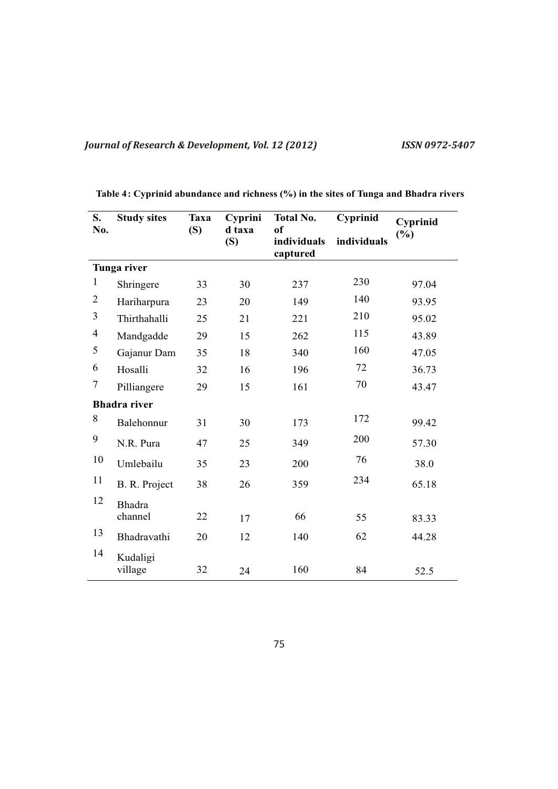| S.                       | <b>Study sites</b>  | Taxa | Cyprini       | <b>Total No.</b>              | Cyprinid    | Cyprinid |
|--------------------------|---------------------|------|---------------|-------------------------------|-------------|----------|
| No.                      |                     | (S)  | d taxa<br>(S) | of<br>individuals<br>captured | individuals | (%)      |
|                          | Tunga river         |      |               |                               |             |          |
| $\mathbf{1}$             | Shringere           | 33   | 30            | 237                           | 230         | 97.04    |
| $\overline{2}$           | Hariharpura         | 23   | 20            | 149                           | 140         | 93.95    |
| 3                        | Thirthahalli        | 25   | 21            | 221                           | 210         | 95.02    |
| $\overline{\mathcal{A}}$ | Mandgadde           | 29   | 15            | 262                           | 115         | 43.89    |
| 5                        | Gajanur Dam         | 35   | 18            | 340                           | 160         | 47.05    |
| 6                        | Hosalli             | 32   | 16            | 196                           | 72          | 36.73    |
| $\boldsymbol{7}$         | Pilliangere         | 29   | 15            | 161                           | 70          | 43.47    |
|                          | <b>Bhadra</b> river |      |               |                               |             |          |
| 8                        | Balehonnur          | 31   | 30            | 173                           | 172         | 99.42    |
| 9                        | N.R. Pura           | 47   | 25            | 349                           | 200         | 57.30    |
| 10                       | Umlebailu           | 35   | 23            | 200                           | 76          | 38.0     |
| 11                       | B. R. Project       | 38   | 26            | 359                           | 234         | 65.18    |
| 12                       | <b>Bhadra</b>       |      |               |                               |             |          |
|                          | channel             | 22   | 17            | 66                            | 55          | 83.33    |
| 13                       | Bhadravathi         | 20   | 12            | 140                           | 62          | 44.28    |
| 14                       | Kudaligi<br>village | 32   | 24            | 160                           | 84          | 52.5     |

**Table 4: Cyprinid abundance and richness (%) in the sites of Tunga and Bhadra rivers**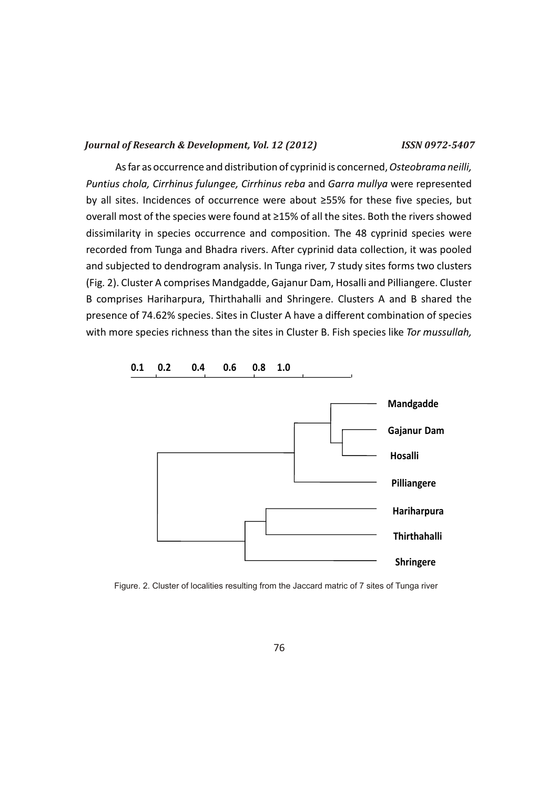As far as occurrence and distribution of cyprinid is concerned, *Osteobrama neilli, Puntius chola, Cirrhinus fulungee, Cirrhinus reba* and *Garra mullya* were represented by all sites. Incidences of occurrence were about ≥55% for these five species, but overall most of the species were found at ≥15% of all the sites. Both the rivers showed dissimilarity in species occurrence and composition. The 48 cyprinid species were recorded from Tunga and Bhadra rivers. After cyprinid data collection, it was pooled and subjected to dendrogram analysis. In Tunga river, 7 study sites forms two clusters (Fig*.* 2). Cluster A comprises Mandgadde, Gajanur Dam, Hosalli and Pilliangere. Cluster B comprises Hariharpura, Thirthahalli and Shringere. Clusters A and B shared the presence of 74.62% species. Sites in Cluster A have a different combination of species with more species richness than the sites in Cluster B. Fish species like *Tor mussullah,* 



Figure. 2. Cluster of localities resulting from the Jaccard matric of 7 sites of Tunga river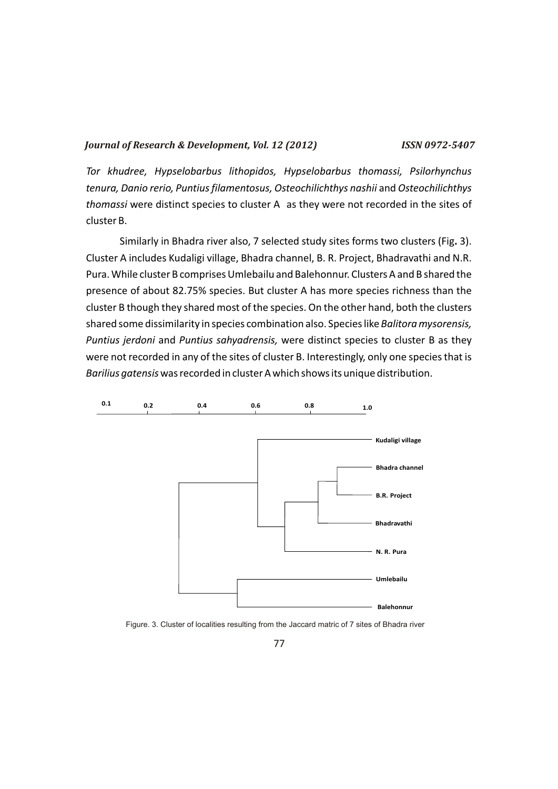*Tor khudree, Hypselobarbus lithopidos, Hypselobarbus thomassi, Psilorhynchus tenura, Danio rerio, Puntius filamentosus, Osteochilichthys nashii* and *Osteochilichthys thomassi* were distinct species to cluster A as they were not recorded in the sites of cluster B.

Similarly in Bhadra river also, 7 selected study sites forms two clusters (Fig**.** 3). Cluster A includes Kudaligi village, Bhadra channel, B. R. Project, Bhadravathi and N.R. Pura. While cluster B comprises Umlebailu and Balehonnur. Clusters A and B shared the presence of about 82.75% species. But cluster A has more species richness than the cluster B though they shared most of the species. On the other hand, both the clusters shared some dissimilarity in species combination also. Species like *Balitora mysorensis, Puntius jerdoni* and *Puntius sahyadrensis,* were distinct species to cluster B as they were not recorded in any of the sites of cluster B. Interestingly, only one species that is *Barilius gatensis*was recorded in cluster A which shows its unique distribution.



Figure. 3. Cluster of localities resulting from the Jaccard matric of 7 sites of Bhadra river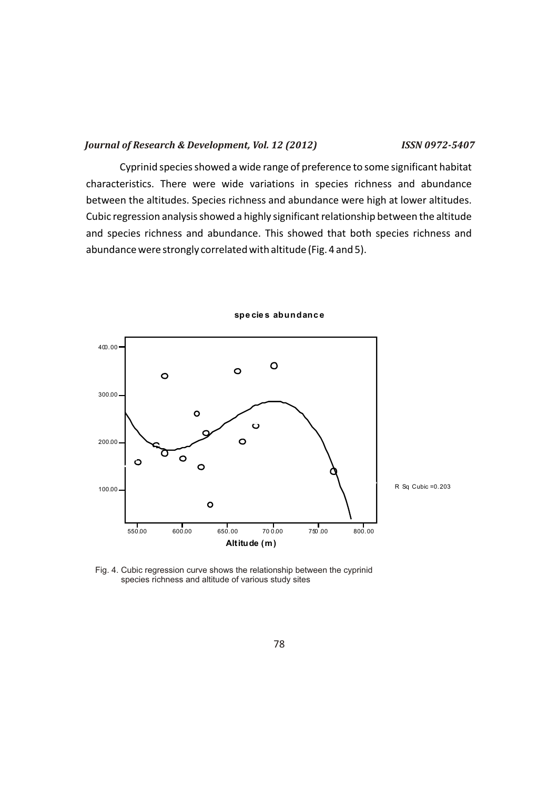Cyprinid species showed a wide range of preference to some significant habitat characteristics. There were wide variations in species richness and abundance between the altitudes. Species richness and abundance were high at lower altitudes. Cubic regression analysis showed a highly significant relationship between the altitude and species richness and abundance. This showed that both species richness and abundance were strongly correlated with altitude (Fig. 4 and 5).



**spe cie s abundanc e**

Fig. 4. Cubic regression curve shows the relationship between the cyprinid species richness and altitude of various study sites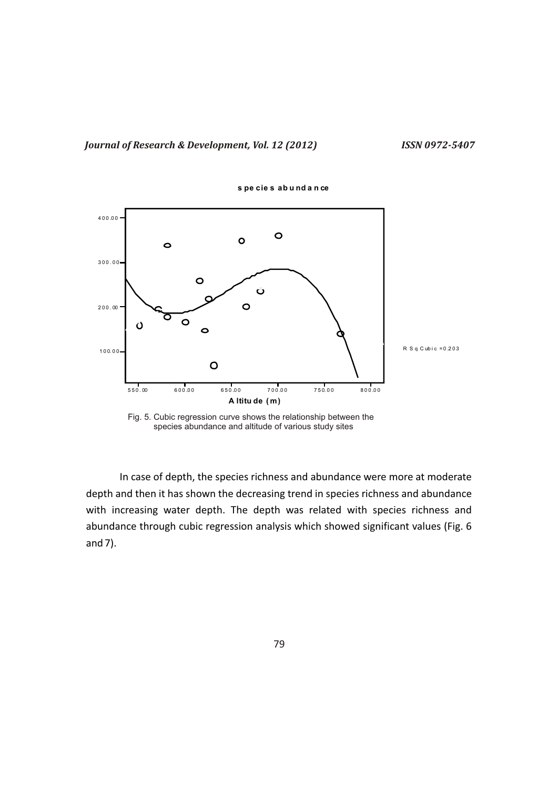

**s pe cie s ab u nd a n ce**

Fig. 5. Cubic regression curve shows the relationship between the species abundance and altitude of various study sites

In case of depth, the species richness and abundance were more at moderate depth and then it has shown the decreasing trend in species richness and abundance with increasing water depth. The depth was related with species richness and abundance through cubic regression analysis which showed significant values (Fig. 6 and 7).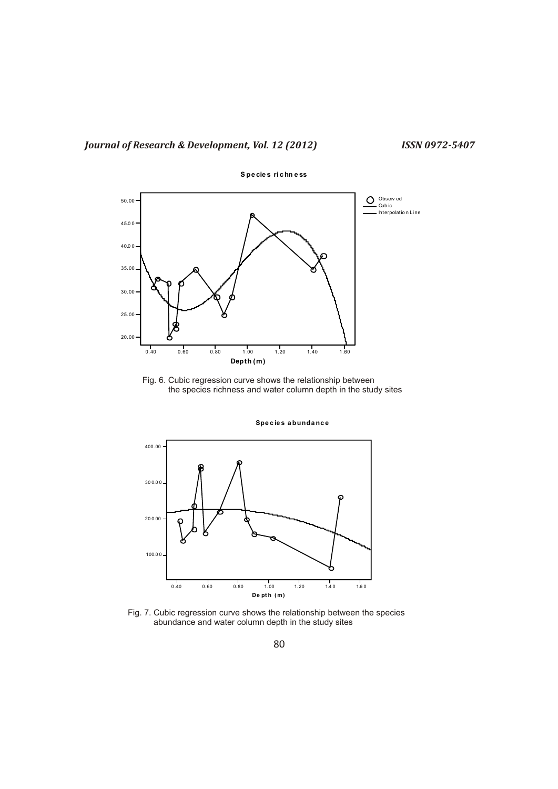

Fig. 6. Cubic regression curve shows the relationship between the species richness and water column depth in the study sites



**Spe c ie s a bunda nc e**

Fig. 7. Cubic regression curve shows the relationship between the species abundance and water column depth in the study sites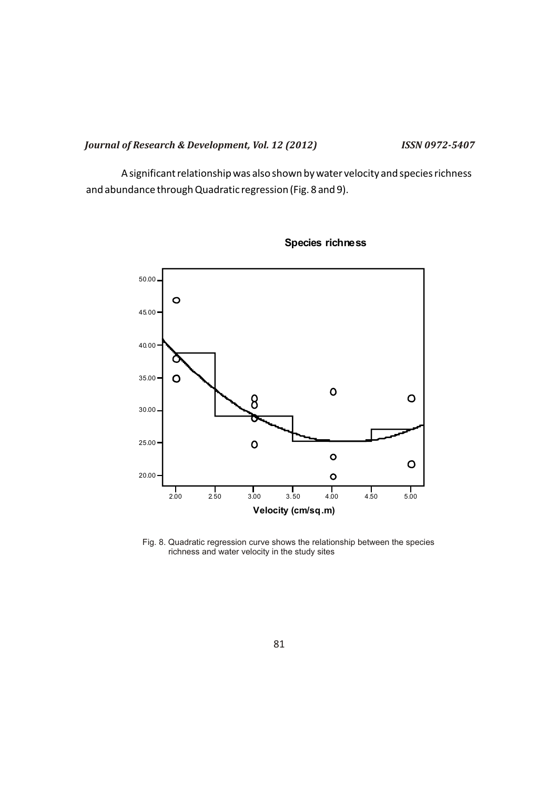A significant relationship was also shown by water velocity and species richness and abundance through Quadratic regression (Fig. 8 and 9).



**Species richness**

Fig. 8. Quadratic regression curve shows the relationship between the species richness and water velocity in the study sites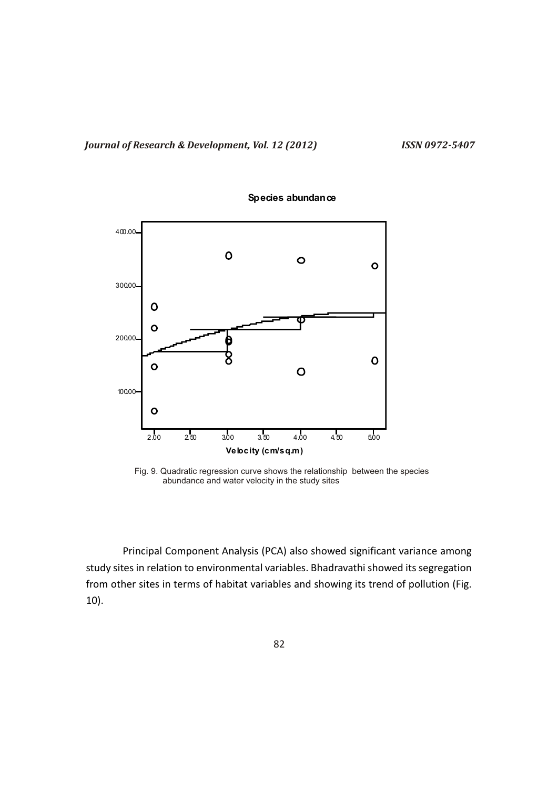

### **Species abundance**

Fig. 9. Quadratic regression curve shows the relationship between the species abundance and water velocity in the study sites

Principal Component Analysis (PCA) also showed significant variance among study sites in relation to environmental variables. Bhadravathi showed its segregation from other sites in terms of habitat variables and showing its trend of pollution (Fig. 10).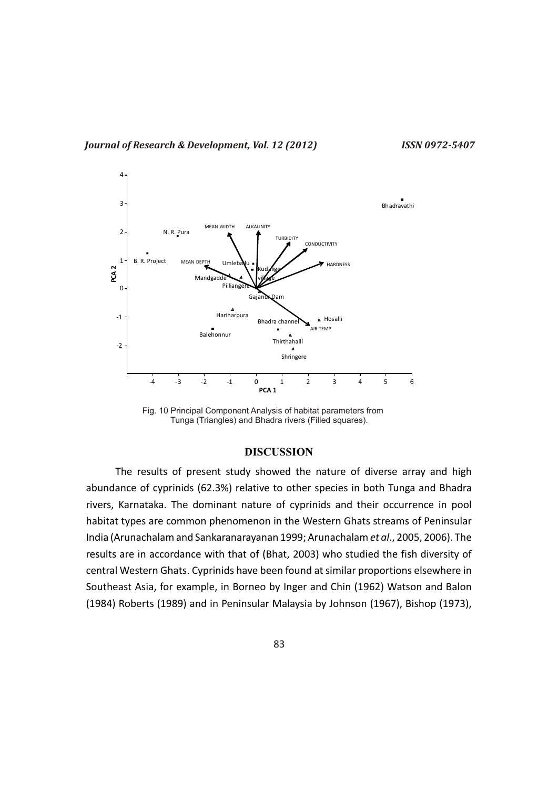

Fig. 10 Principal Component Analysis of habitat parameters from Tunga (Triangles) and Bhadra rivers (Filled squares).

## **DISCUSSION**

The results of present study showed the nature of diverse array and high abundance of cyprinids (62.3%) relative to other species in both Tunga and Bhadra rivers, Karnataka. The dominant nature of cyprinids and their occurrence in pool habitat types are common phenomenon in the Western Ghats streams of Peninsular India (Arunachalam and Sankaranarayanan 1999; Arunachalam *et al*., 2005, 2006). The results are in accordance with that of (Bhat, 2003) who studied the fish diversity of central Western Ghats. Cyprinids have been found at similar proportions elsewhere in Southeast Asia, for example, in Borneo by Inger and Chin (1962) Watson and Balon (1984) Roberts (1989) and in Peninsular Malaysia by Johnson (1967), Bishop (1973),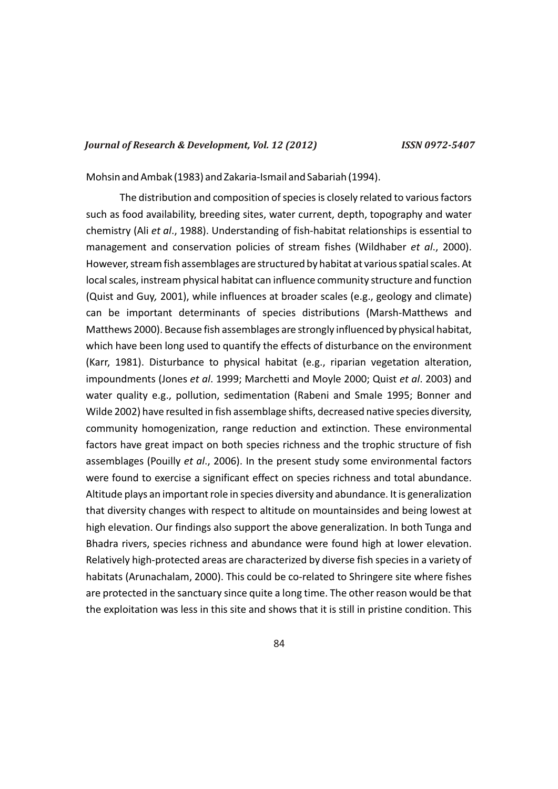Mohsin and Ambak (1983) and Zakaria-Ismail and Sabariah (1994).

The distribution and composition of species is closely related to various factors such as food availability, breeding sites, water current, depth, topography and water chemistry (Ali *et al*., 1988). Understanding of fish-habitat relationships is essential to management and conservation policies of stream fishes (Wildhaber *et al*., 2000). However, stream fish assemblages are structured by habitat at various spatial scales. At local scales, instream physical habitat can influence community structure and function (Quist and Guy*,* 2001), while influences at broader scales (e.g., geology and climate) can be important determinants of species distributions (Marsh-Matthews and Matthews 2000). Because fish assemblages are strongly influenced by physical habitat, which have been long used to quantify the effects of disturbance on the environment (Karr, 1981). Disturbance to physical habitat (e.g., riparian vegetation alteration, impoundments (Jones *et al*. 1999; Marchetti and Moyle 2000; Quist *et al*. 2003) and water quality e.g., pollution, sedimentation (Rabeni and Smale 1995; Bonner and Wilde 2002) have resulted in fish assemblage shifts, decreased native species diversity, community homogenization, range reduction and extinction. These environmental factors have great impact on both species richness and the trophic structure of fish assemblages (Pouilly *et al*., 2006). In the present study some environmental factors were found to exercise a significant effect on species richness and total abundance. Altitude plays an important role in species diversity and abundance. It is generalization that diversity changes with respect to altitude on mountainsides and being lowest at high elevation. Our findings also support the above generalization. In both Tunga and Bhadra rivers, species richness and abundance were found high at lower elevation. Relatively high-protected areas are characterized by diverse fish species in a variety of habitats (Arunachalam, 2000). This could be co-related to Shringere site where fishes are protected in the sanctuary since quite a long time. The other reason would be that the exploitation was less in this site and shows that it is still in pristine condition. This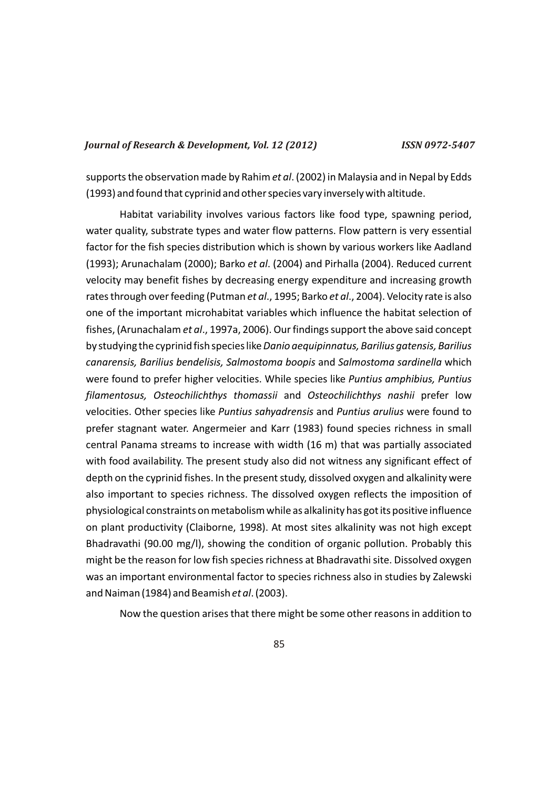supports the observation made by Rahim *et al*. (2002) in Malaysia and in Nepal by Edds (1993) and found that cyprinid and other species vary inversely with altitude.

Habitat variability involves various factors like food type, spawning period, water quality, substrate types and water flow patterns. Flow pattern is very essential factor for the fish species distribution which is shown by various workers like Aadland (1993); Arunachalam (2000); Barko *et al*. (2004) and Pirhalla (2004). Reduced current velocity may benefit fishes by decreasing energy expenditure and increasing growth rates through over feeding (Putman *et al*., 1995; Barko *et al*., 2004). Velocity rate is also one of the important microhabitat variables which influence the habitat selection of fishes, (Arunachalam *et al*., 1997a, 2006). Our findings support the above said concept by studying the cyprinid fish species like *Danio aequipinnatus, Barilius gatensis, Barilius canarensis, Barilius bendelisis, Salmostoma boopis* and *Salmostoma sardinella* which were found to prefer higher velocities. While species like *Puntius amphibius, Puntius filamentosus, Osteochilichthys thomassii* and *Osteochilichthys nashii* prefer low velocities. Other species like *Puntius sahyadrensis* and *Puntius arulius* were found to prefer stagnant water. Angermeier and Karr (1983) found species richness in small central Panama streams to increase with width (16 m) that was partially associated with food availability. The present study also did not witness any significant effect of depth on the cyprinid fishes. In the present study, dissolved oxygen and alkalinity were also important to species richness. The dissolved oxygen reflects the imposition of physiological constraints on metabolism while as alkalinity has got its positive influence on plant productivity (Claiborne, 1998). At most sites alkalinity was not high except Bhadravathi (90.00 mg/l), showing the condition of organic pollution. Probably this might be the reason for low fish species richness at Bhadravathi site. Dissolved oxygen was an important environmental factor to species richness also in studies by Zalewski and Naiman (1984) and Beamish *et al*. (2003).

Now the question arises that there might be some other reasons in addition to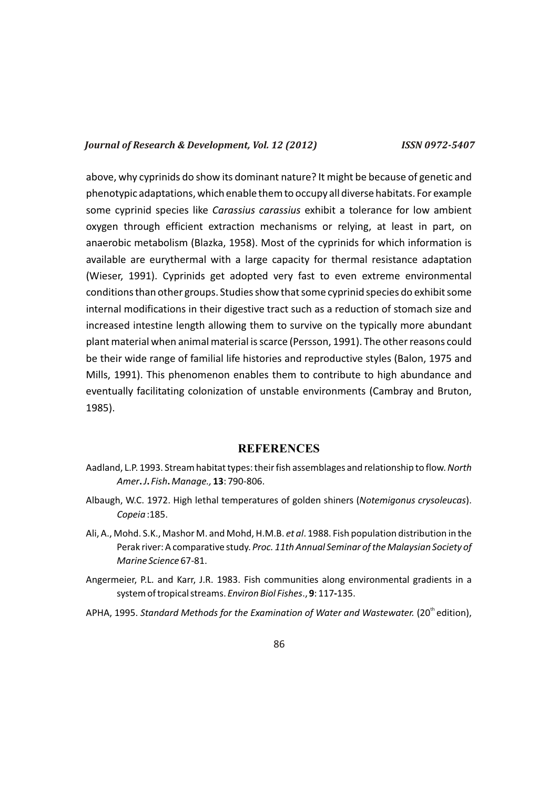above, why cyprinids do show its dominant nature? It might be because of genetic and phenotypic adaptations, which enable them to occupy all diverse habitats. For example some cyprinid species like *Carassius carassius* exhibit a tolerance for low ambient oxygen through efficient extraction mechanisms or relying, at least in part, on anaerobic metabolism (Blazka, 1958). Most of the cyprinids for which information is available are eurythermal with a large capacity for thermal resistance adaptation (Wieser, 1991). Cyprinids get adopted very fast to even extreme environmental conditions than other groups. Studies show that some cyprinid species do exhibit some internal modifications in their digestive tract such as a reduction of stomach size and increased intestine length allowing them to survive on the typically more abundant plant material when animal material is scarce (Persson, 1991). The other reasons could be their wide range of familial life histories and reproductive styles (Balon, 1975 and Mills, 1991). This phenomenon enables them to contribute to high abundance and eventually facilitating colonization of unstable environments (Cambray and Bruton, 1985).

## **REFERENCES**

- Aadland, L.P. 1993. Stream habitat types: their fish assemblages and relationship to flow. *North Amer***.***J***.** *Fish***.***Manage.,* **13**: 790-806.
- Albaugh, W.C. 1972. High lethal temperatures of golden shiners (*Notemigonus crysoleucas*). *Copeia* :185.
- Ali, A., Mohd. S.K., Mashor M. and Mohd, H.M.B. *et al*. 1988. Fish population distribution in the Perak river: A comparative study. *Proc. 11th Annual Seminar of the Malaysian Society of Marine Science* 67-81.
- Angermeier, P.L. and Karr, J.R. 1983. Fish communities along environmental gradients in a system of tropical streams. *Environ Biol Fishes*., **9**: 117**-**135.
- APHA, 1995. *Standard Methods for the Examination of Water and Wastewater.* (20<sup>th</sup> edition),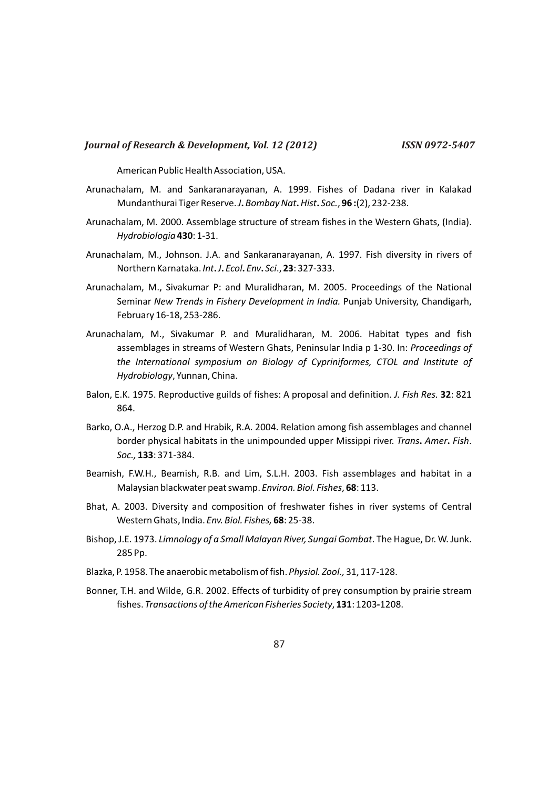American Public Health Association, USA.

- Arunachalam, M. and Sankaranarayanan, A. 1999. Fishes of Dadana river in Kalakad Mundanthurai Tiger Reserve. *J***.***Bombay Nat***.***Hist***.** *Soc.*, **96 :**(2), 232-238.
- Arunachalam, M. 2000. Assemblage structure of stream fishes in the Western Ghats, (India). *Hydrobiologia* **430**: 1-31.
- Arunachalam, M., Johnson. J.A. and Sankaranarayanan, A. 1997. Fish diversity in rivers of Northern Karnataka. *Int***.***J***.** *Ecol***.** *Env***.** *Sci*., **23**: 327-333.
- Arunachalam, M., Sivakumar P: and Muralidharan, M. 2005. Proceedings of the National Seminar *New Trends in Fishery Development in India.* Punjab University, Chandigarh, February 16-18, 253-286.
- Arunachalam, M., Sivakumar P. and Muralidharan, M. 2006. Habitat types and fish assemblages in streams of Western Ghats, Peninsular India p 1-30. In: *Proceedings of the International symposium on Biology of Cypriniformes, CTOL and Institute of Hydrobiology*, Yunnan, China.
- Balon, E.K. 1975. Reproductive guilds of fishes: A proposal and definition. *J. Fish Res.* **32**: 821 864.
- Barko, O.A., Herzog D.P. and Hrabik, R.A. 2004. Relation among fish assemblages and channel border physical habitats in the unimpounded upper Missippi river. *Trans***.** *Amer***.** *Fish*. *Soc.,* **133**: 371-384.
- Beamish, F.W.H., Beamish, R.B. and Lim, S.L.H. 2003. Fish assemblages and habitat in a Malaysian blackwater peat swamp. *Environ. Biol. Fishes*, **68**: 113.
- Bhat, A. 2003. Diversity and composition of freshwater fishes in river systems of Central Western Ghats, India. *Env. Biol. Fishes,* **68**: 25-38.
- Bishop, J.E. 1973. *Limnology of a Small Malayan River, Sungai Gombat*. The Hague, Dr. W. Junk. 285 Pp.
- Blazka, P. 1958. The anaerobic metabolism of fish. *Physiol. Zool.,* 31, 117-128.
- Bonner, T.H. and Wilde, G.R. 2002. Effects of turbidity of prey consumption by prairie stream fishes. *Transactions of the American Fisheries Society*, **131**: 1203**-**1208.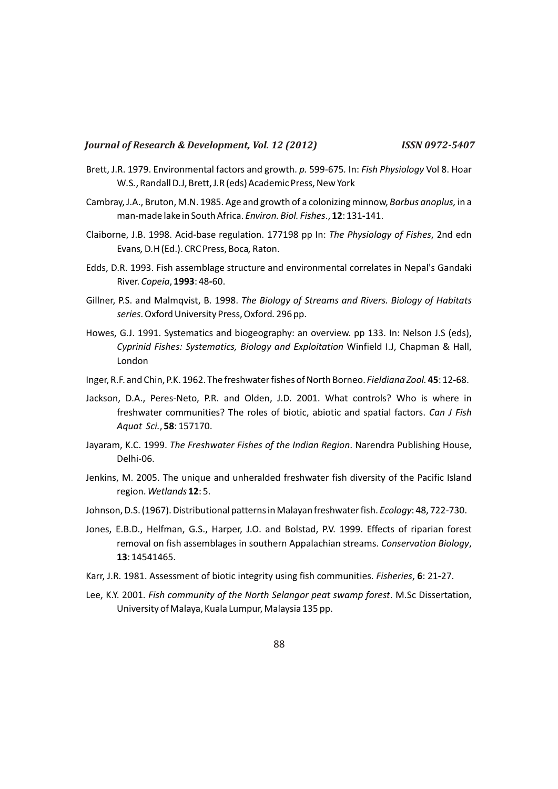- Brett, J.R. 1979. Environmental factors and growth. *p.* 599*-*675*.* In: *Fish Physiology* Vol 8. Hoar W*.*S*.*, Randall D*.*J, Brett, J*.*R (eds) Academic Press, New York
- Cambray, J.A., Bruton, M.N. 1985. Age and growth of a colonizing minnow, *Barbus anoplus,* in a man-made lake in South Africa. *Environ. Biol. Fishes*., **12**: 131**-**141.
- Claiborne, J.B. 1998. Acid-base regulation. 177198 pp In: *The Physiology of Fishes*, 2nd edn Evans*,*D*.*H (Ed.). CRC Press, Boca*,*Raton.
- Edds, D.R. 1993. Fish assemblage structure and environmental correlates in Nepal's Gandaki River. *Copeia*, **1993**: 48**-**60.
- Gillner, P.S. and Malmqvist, B. 1998. *The Biology of Streams and Rivers. Biology of Habitats series*. Oxford University Press, Oxford*.* 296 pp.
- Howes, G.J. 1991. Systematics and biogeography: an overview. pp 133. In: Nelson J.S (eds), *Cyprinid Fishes: Systematics, Biology and Exploitation* Winfield I.J, Chapman & Hall, London
- Inger, R.F. and Chin, P.K. 1962. The freshwater fishes of North Borneo. *Fieldiana Zool.* **45**: 12**-**68.
- Jackson, D.A., Peres-Neto, P.R. and Olden, J.D. 2001. What controls? Who is where in freshwater communities? The roles of biotic, abiotic and spatial factors. *Can J Fish Aquat Sci.*, **58**: 157170.
- Jayaram, K.C. 1999. *The Freshwater Fishes of the Indian Region*. Narendra Publishing House, Delhi-06.
- Jenkins, M. 2005. The unique and unheralded freshwater fish diversity of the Pacific Island region. *Wetlands* **12**: 5.
- Johnson, D.S. (1967). Distributional patterns in Malayan freshwater fish. *Ecology*: 48, 722*-*730.
- Jones, E.B.D., Helfman, G.S., Harper, J.O. and Bolstad, P.V. 1999. Effects of riparian forest removal on fish assemblages in southern Appalachian streams. *Conservation Biology*, **13**: 14541465.
- Karr, J.R. 1981. Assessment of biotic integrity using fish communities. *Fisheries*, **6**: 21**-**27.
- Lee, K.Y. 2001. *Fish community of the North Selangor peat swamp forest*. M.Sc Dissertation, University of Malaya, Kuala Lumpur, Malaysia 135 pp.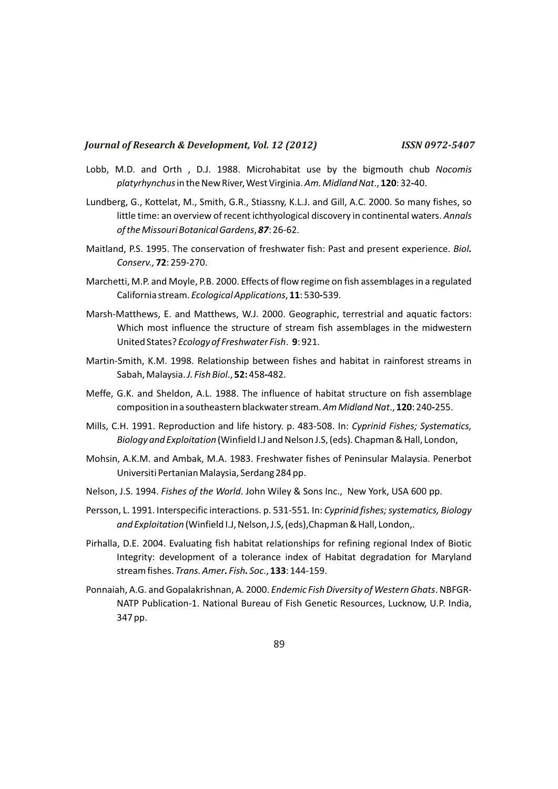- Lobb, M.D. and Orth , D.J. 1988. Microhabitat use by the bigmouth chub *Nocomis platyrhynchus*in the New River, West Virginia. *Am. Midland Nat*., **120**: 32**-**40.
- Lundberg, G., Kottelat, M., Smith, G.R., Stiassny, K.L.J. and Gill, A.C. 2000. So many fishes, so little time: an overview of recent ichthyological discovery in continental waters. *Annals of the Missouri Botanical Gardens*, *87*: 26-62.
- Maitland, P.S. 1995. The conservation of freshwater fish: Past and present experience. *Biol. Conserv.,* **72**: 259-270.
- Marchetti, M.P. and Moyle, P.B. 2000. Effects of flow regime on fish assemblages in a regulated California stream. *Ecological Applications*, **11**: 530**-**539.
- Marsh-Matthews, E. and Matthews, W.J. 2000. Geographic, terrestrial and aquatic factors: Which most influence the structure of stream fish assemblages in the midwestern United States? *Ecology of Freshwater Fish*. **9**: 921.
- Martin-Smith, K.M. 1998. Relationship between fishes and habitat in rainforest streams in Sabah, Malaysia. *J. Fish Biol*., **52:** 458**-**482.
- Meffe, G.K. and Sheldon, A.L. 1988. The influence of habitat structure on fish assemblage composition in a southeastern blackwater stream. *Am Midland Nat*., **120**: 240**-**255.
- Mills, C.H. 1991. Reproduction and life history. p. 483-508. In: *Cyprinid Fishes; Systematics, Biology and Exploitation* (Winfield I.J and Nelson J.S, (eds). Chapman & Hall, London,
- Mohsin, A.K.M. and Ambak, M.A. 1983. Freshwater fishes of Peninsular Malaysia. Penerbot Universiti Pertanian Malaysia, Serdang 284 pp.
- Nelson, J.S. 1994. *Fishes of the World.* John Wiley & Sons Inc., New York, USA 600 pp.
- Persson, L. 1991. Interspecific interactions. p. 531*-*551*.* In: *Cyprinid fishes; systematics, Biology and Exploitation* (Winfield I.J, Nelson, J.S, (eds),Chapman & Hall, London,.
- Pirhalla, D.E. 2004. Evaluating fish habitat relationships for refining regional Index of Biotic Integrity: development of a tolerance index of Habitat degradation for Maryland stream fishes. *Trans. Amer. Fish. Soc*., **133**: 144-159.
- Ponnaiah, A.G. and Gopalakrishnan, A. 2000. *Endemic Fish Diversity of Western Ghats*. NBFGR-NATP Publication-1. National Bureau of Fish Genetic Resources, Lucknow, U.P. India, 347 pp.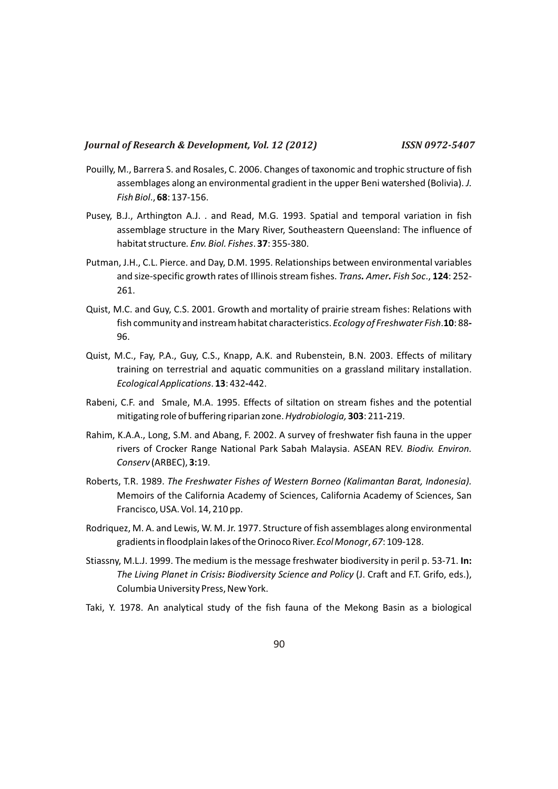- Pouilly, M., Barrera S. and Rosales, C. 2006. Changes of taxonomic and trophic structure of fish assemblages along an environmental gradient in the upper Beni watershed (Bolivia). *J. Fish Biol*., **68**: 137-156.
- Pusey, B.J., Arthington A.J. . and Read, M.G. 1993. Spatial and temporal variation in fish assemblage structure in the Mary River, Southeastern Queensland: The influence of habitat structure*. Env. Biol. Fishes*. **37**: 355-380.
- Putman, J.H., C.L. Pierce. and Day, D.M. 1995. Relationships between environmental variables and size-specific growth rates of Illinois stream fishes. *Trans. Amer. Fish Soc*., **124**: 252- 261.
- Quist, M.C. and Guy, C.S. 2001. Growth and mortality of prairie stream fishes: Relations with fish community and instream habitat characteristics. *Ecology of Freshwater Fish*.**10**: 88**-** 96.
- Quist, M.C., Fay, P.A., Guy, C.S., Knapp, A.K. and Rubenstein, B.N. 2003. Effects of military training on terrestrial and aquatic communities on a grassland military installation. *Ecological Applications*. **13**: 432**-**442.
- Rabeni, C.F. and Smale, M.A. 1995. Effects of siltation on stream fishes and the potential mitigating role of buffering riparian zone. *Hydrobiologia,* **303**: 211**-**219.
- Rahim, K.A.A., Long, S.M. and Abang, F. 2002. A survey of freshwater fish fauna in the upper rivers of Crocker Range National Park Sabah Malaysia. ASEAN REV. *Biodiv. Environ. Conserv* (ARBEC), **3:**19.
- Roberts, T.R. 1989. *The Freshwater Fishes of Western Borneo (Kalimantan Barat, Indonesia).*  Memoirs of the California Academy of Sciences, California Academy of Sciences, San Francisco, USA. Vol. 14, 210 pp.
- Rodriquez, M. A. and Lewis, W. M. Jr. 1977. Structure of fish assemblages along environmental gradients in floodplain lakes of the Orinoco River. *Ecol Monogr*, *67*: 109*-*128.
- Stiassny, M.L.J. 1999. The medium is the message freshwater biodiversity in peril p. 53-71. **In:** *The Living Planet in Crisis: Biodiversity Science and Policy* (J. Craft and F.T. Grifo, eds.), Columbia University Press, New York.
- Taki, Y. 1978. An analytical study of the fish fauna of the Mekong Basin as a biological